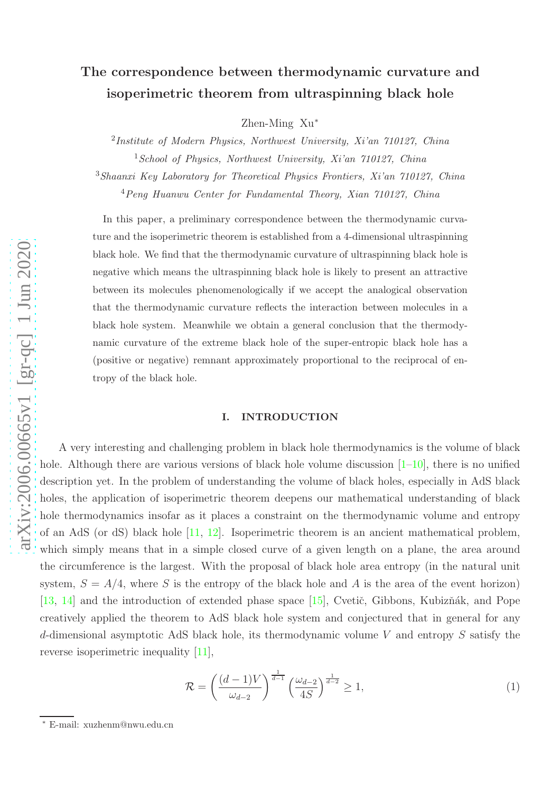# The correspondence between thermodynamic curvature and isoperimetric theorem from ultraspinning black hole

Zhen-Ming Xu ∗

<sup>2</sup>Institute of Modern Physics, Northwest University, Xi'an 710127, China  $1$ School of Physics, Northwest University, Xi'an 710127, China

<sup>3</sup>Shaanxi Key Laboratory for Theoretical Physics Frontiers, Xi'an 710127, China

<sup>4</sup>Peng Huanwu Center for Fundamental Theory, Xian 710127, China

In this paper, a preliminary correspondence between the thermodynamic curvature and the isoperimetric theorem is established from a 4-dimensional ultraspinning black hole. We find that the thermodynamic curvature of ultraspinning black hole is negative which means the ultraspinning black hole is likely to present an attractive between its molecules phenomenologically if we accept the analogical observation that the thermodynamic curvature reflects the interaction between molecules in a black hole system. Meanwhile we obtain a general conclusion that the thermodynamic curvature of the extreme black hole of the super-entropic black hole has a (positive or negative) remnant approximately proportional to the reciprocal of entropy of the black hole.

#### I. INTRODUCTION

A very interesting and challenging problem in black hole thermodynamics is the volume of black hole. Although there are various versions of black hole volume discussion  $[1-10]$  $[1-10]$  $[1-10]$ , there is no unified description yet. In the problem of understanding the volume of black holes, especially in AdS black holes, the application of isoperimetric theorem deepens our mathematical understanding of black hole thermodynamics insofar as it places a constraint on the thermodynamic volume and entropy of an AdS (or dS) black hole [\[11](#page-8-0) , [12](#page-8-1)]. Isoperimetric theorem is an ancient mathematical problem, which simply means that in a simple closed curve of a given length on a plane, the area around the circumference is the largest. With the proposal of black hole area entropy (in the natural unit system,  $S = A/4$ , where S is the entropy of the black hole and A is the area of the event horizon) [\[13](#page-8-2), [14](#page-8-3)] and the introduction of extended phase space [\[15](#page-8-4)], Cvetič, Gibbons, Kubizňák, and Pope creatively applied the theorem to AdS black hole system and conjectured that in general for any d-dimensional asymptotic AdS black hole, its thermodynamic volume V and entropy  $S$  satisfy the reverse isoperimetric inequality [\[11\]](#page-8-0),

<span id="page-0-0"></span>
$$
\mathcal{R} = \left(\frac{(d-1)V}{\omega_{d-2}}\right)^{\frac{1}{d-1}} \left(\frac{\omega_{d-2}}{4S}\right)^{\frac{1}{d-2}} \ge 1,\tag{1}
$$

<sup>∗</sup> E-mail: xuzhenm@nwu.edu.cn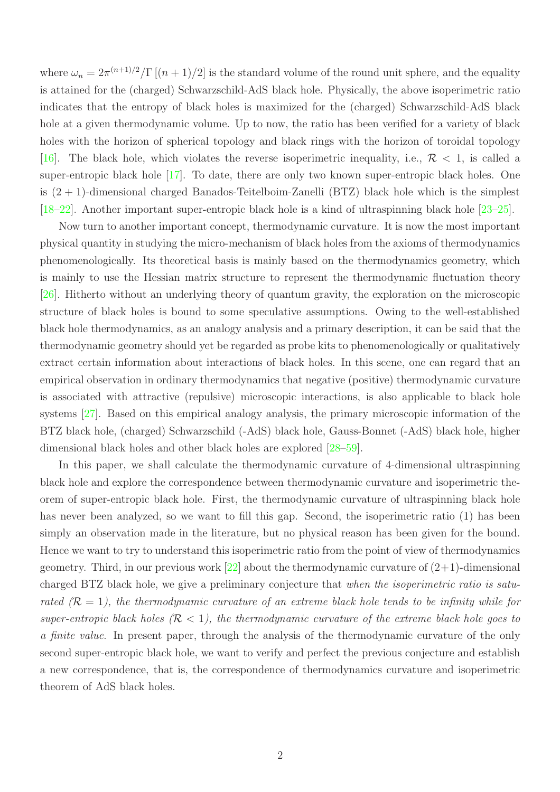where  $\omega_n = 2\pi^{(n+1)/2}/\Gamma[(n+1)/2]$  is the standard volume of the round unit sphere, and the equality is attained for the (charged) Schwarzschild-AdS black hole. Physically, the above isoperimetric ratio indicates that the entropy of black holes is maximized for the (charged) Schwarzschild-AdS black hole at a given thermodynamic volume. Up to now, the ratio has been verified for a variety of black holes with the horizon of spherical topology and black rings with the horizon of toroidal topology [\[16](#page-8-5)]. The black hole, which violates the reverse isoperimetric inequality, i.e.,  $\mathcal{R}$  < 1, is called a super-entropic black hole [\[17\]](#page-8-6). To date, there are only two known super-entropic black holes. One is (2 + 1)-dimensional charged Banados-Teitelboim-Zanelli (BTZ) black hole which is the simplest [\[18](#page-8-7)[–22](#page-8-8)]. Another important super-entropic black hole is a kind of ultraspinning black hole [\[23](#page-8-9)[–25\]](#page-8-10).

Now turn to another important concept, thermodynamic curvature. It is now the most important physical quantity in studying the micro-mechanism of black holes from the axioms of thermodynamics phenomenologically. Its theoretical basis is mainly based on the thermodynamics geometry, which is mainly to use the Hessian matrix structure to represent the thermodynamic fluctuation theory [\[26](#page-8-11)]. Hitherto without an underlying theory of quantum gravity, the exploration on the microscopic structure of black holes is bound to some speculative assumptions. Owing to the well-established black hole thermodynamics, as an analogy analysis and a primary description, it can be said that the thermodynamic geometry should yet be regarded as probe kits to phenomenologically or qualitatively extract certain information about interactions of black holes. In this scene, one can regard that an empirical observation in ordinary thermodynamics that negative (positive) thermodynamic curvature is associated with attractive (repulsive) microscopic interactions, is also applicable to black hole systems [\[27](#page-8-12)]. Based on this empirical analogy analysis, the primary microscopic information of the BTZ black hole, (charged) Schwarzschild (-AdS) black hole, Gauss-Bonnet (-AdS) black hole, higher dimensional black holes and other black holes are explored [\[28](#page-8-13)[–59](#page-10-0)].

In this paper, we shall calculate the thermodynamic curvature of 4-dimensional ultraspinning black hole and explore the correspondence between thermodynamic curvature and isoperimetric theorem of super-entropic black hole. First, the thermodynamic curvature of ultraspinning black hole has never been analyzed, so we want to fill this gap. Second, the isoperimetric ratio [\(1\)](#page-0-0) has been simply an observation made in the literature, but no physical reason has been given for the bound. Hence we want to try to understand this isoperimetric ratio from the point of view of thermodynamics geometry. Third, in our previous work  $[22]$  about the thermodynamic curvature of  $(2+1)$ -dimensional charged BTZ black hole, we give a preliminary conjecture that when the isoperimetric ratio is saturated  $(\mathcal{R} = 1)$ , the thermodynamic curvature of an extreme black hole tends to be infinity while for super-entropic black holes  $(R < 1)$ , the thermodynamic curvature of the extreme black hole goes to a finite value. In present paper, through the analysis of the thermodynamic curvature of the only second super-entropic black hole, we want to verify and perfect the previous conjecture and establish a new correspondence, that is, the correspondence of thermodynamics curvature and isoperimetric theorem of AdS black holes.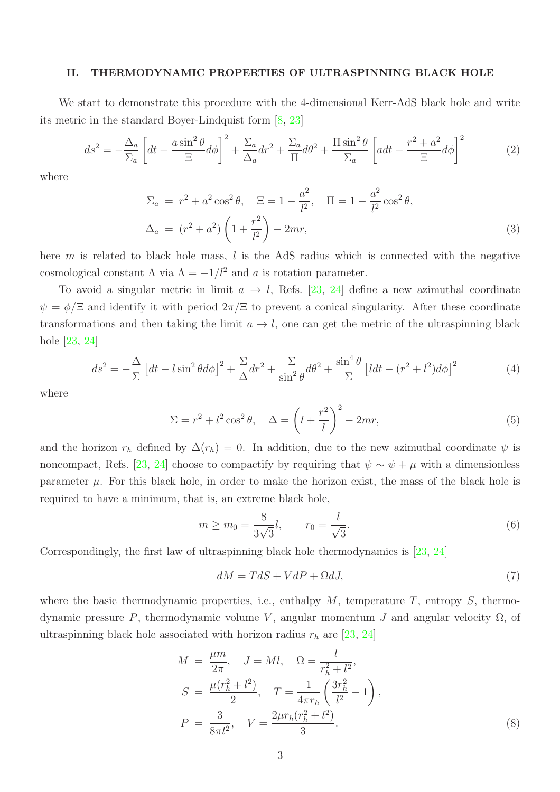## II. THERMODYNAMIC PROPERTIES OF ULTRASPINNING BLACK HOLE

We start to demonstrate this procedure with the 4-dimensional Kerr-AdS black hole and write its metric in the standard Boyer-Lindquist form [\[8,](#page-7-2) [23](#page-8-9)]

$$
ds^{2} = -\frac{\Delta_{a}}{\Sigma_{a}} \left[ dt - \frac{a \sin^{2} \theta}{\Xi} d\phi \right]^{2} + \frac{\Sigma_{a}}{\Delta_{a}} dr^{2} + \frac{\Sigma_{a}}{\Pi} d\theta^{2} + \frac{\Pi \sin^{2} \theta}{\Sigma_{a}} \left[ a dt - \frac{r^{2} + a^{2}}{\Xi} d\phi \right]^{2} \tag{2}
$$

where

$$
\Sigma_a = r^2 + a^2 \cos^2 \theta, \quad \Xi = 1 - \frac{a^2}{l^2}, \quad \Pi = 1 - \frac{a^2}{l^2} \cos^2 \theta,
$$
  

$$
\Delta_a = (r^2 + a^2) \left(1 + \frac{r^2}{l^2}\right) - 2mr,
$$
 (3)

here m is related to black hole mass,  $l$  is the AdS radius which is connected with the negative cosmological constant  $\Lambda$  via  $\Lambda = -1/l^2$  and a is rotation parameter.

To avoid a singular metric in limit  $a \to l$ , Refs. [\[23,](#page-8-9) [24](#page-8-14)] define a new azimuthal coordinate  $\psi = \phi/\Xi$  and identify it with period  $2\pi/\Xi$  to prevent a conical singularity. After these coordinate transformations and then taking the limit  $a \to l$ , one can get the metric of the ultraspinning black hole [\[23](#page-8-9), [24](#page-8-14)]

$$
ds^{2} = -\frac{\Delta}{\Sigma} \left[ dt - l \sin^{2} \theta d\phi \right]^{2} + \frac{\Sigma}{\Delta} dr^{2} + \frac{\Sigma}{\sin^{2} \theta} d\theta^{2} + \frac{\sin^{4} \theta}{\Sigma} \left[ l dt - (r^{2} + l^{2}) d\phi \right]^{2}
$$
(4)

where

$$
\Sigma = r^2 + l^2 \cos^2 \theta, \quad \Delta = \left(l + \frac{r^2}{l}\right)^2 - 2mr,\tag{5}
$$

and the horizon  $r_h$  defined by  $\Delta(r_h) = 0$ . In addition, due to the new azimuthal coordinate  $\psi$  is noncompact, Refs. [\[23](#page-8-9), [24\]](#page-8-14) choose to compactify by requiring that  $\psi \sim \psi + \mu$  with a dimensionless parameter  $\mu$ . For this black hole, in order to make the horizon exist, the mass of the black hole is required to have a minimum, that is, an extreme black hole,

<span id="page-2-2"></span>
$$
m \ge m_0 = \frac{8}{3\sqrt{3}}l, \qquad r_0 = \frac{l}{\sqrt{3}}.
$$
 (6)

Correspondingly, the first law of ultraspinning black hole thermodynamics is [\[23,](#page-8-9) [24](#page-8-14)]

<span id="page-2-1"></span>
$$
dM = TdS + VdP + \Omega dJ,\tag{7}
$$

where the basic thermodynamic properties, i.e., enthalpy  $M$ , temperature  $T$ , entropy  $S$ , thermodynamic pressure P, thermodynamic volume V, angular momentum J and angular velocity  $Ω$ , of ultraspinning black hole associated with horizon radius  $r_h$  are [\[23,](#page-8-9) [24](#page-8-14)]

<span id="page-2-0"></span>
$$
M = \frac{\mu m}{2\pi}, \quad J = Ml, \quad \Omega = \frac{l}{r_h^2 + l^2},
$$
  
\n
$$
S = \frac{\mu(r_h^2 + l^2)}{2}, \quad T = \frac{1}{4\pi r_h} \left(\frac{3r_h^2}{l^2} - 1\right),
$$
  
\n
$$
P = \frac{3}{8\pi l^2}, \quad V = \frac{2\mu r_h(r_h^2 + l^2)}{3}.
$$
\n(8)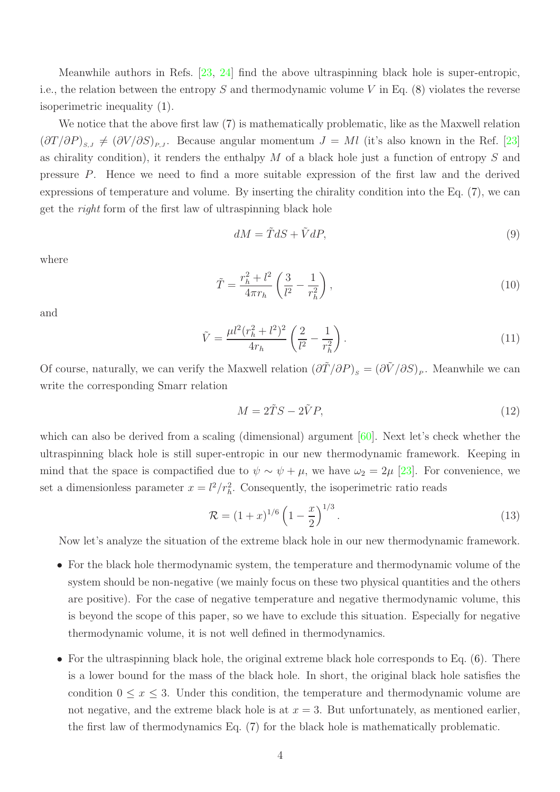Meanwhile authors in Refs. [\[23](#page-8-9), [24](#page-8-14)] find the above ultraspinning black hole is super-entropic, i.e., the relation between the entropy S and thermodynamic volume V in Eq.  $(8)$  violates the reverse isoperimetric inequality [\(1\)](#page-0-0).

We notice that the above first law  $(7)$  is mathematically problematic, like as the Maxwell relation  $(\partial T/\partial P)_{s,J} \neq (\partial V/\partial S)_{P,J}$ . Because angular momentum  $J = Ml$  (it's also known in the Ref. [\[23\]](#page-8-9) as chirality condition), it renders the enthalpy  $M$  of a black hole just a function of entropy  $S$  and pressure P. Hence we need to find a more suitable expression of the first law and the derived expressions of temperature and volume. By inserting the chirality condition into the Eq. [\(7\)](#page-2-1), we can get the right form of the first law of ultraspinning black hole

<span id="page-3-0"></span>
$$
dM = \tilde{T}dS + \tilde{V}dP,\tag{9}
$$

where

<span id="page-3-1"></span>
$$
\tilde{T} = \frac{r_h^2 + l^2}{4\pi r_h} \left(\frac{3}{l^2} - \frac{1}{r_h^2}\right),\tag{10}
$$

and

<span id="page-3-2"></span>
$$
\tilde{V} = \frac{\mu l^2 (r_h^2 + l^2)^2}{4r_h} \left(\frac{2}{l^2} - \frac{1}{r_h^2}\right). \tag{11}
$$

Of course, naturally, we can verify the Maxwell relation  $(\partial \tilde{T}/\partial P)_{s} = (\partial \tilde{V}/\partial S)_{P}$ . Meanwhile we can write the corresponding Smarr relation

$$
M = 2\tilde{T}S - 2\tilde{V}P,\tag{12}
$$

which can also be derived from a scaling (dimensional) argument [\[60\]](#page-10-1). Next let's check whether the ultraspinning black hole is still super-entropic in our new thermodynamic framework. Keeping in mind that the space is compactified due to  $\psi \sim \psi + \mu$ , we have  $\omega_2 = 2\mu$  [\[23\]](#page-8-9). For convenience, we set a dimensionless parameter  $x = l^2/r_h^2$ . Consequently, the isoperimetric ratio reads

$$
\mathcal{R} = (1+x)^{1/6} \left(1 - \frac{x}{2}\right)^{1/3}.\tag{13}
$$

Now let's analyze the situation of the extreme black hole in our new thermodynamic framework.

- For the black hole thermodynamic system, the temperature and thermodynamic volume of the system should be non-negative (we mainly focus on these two physical quantities and the others are positive). For the case of negative temperature and negative thermodynamic volume, this is beyond the scope of this paper, so we have to exclude this situation. Especially for negative thermodynamic volume, it is not well defined in thermodynamics.
- For the ultraspinning black hole, the original extreme black hole corresponds to Eq.  $(6)$ . There is a lower bound for the mass of the black hole. In short, the original black hole satisfies the condition  $0 \leq x \leq 3$ . Under this condition, the temperature and thermodynamic volume are not negative, and the extreme black hole is at  $x = 3$ . But unfortunately, as mentioned earlier, the first law of thermodynamics Eq. [\(7\)](#page-2-1) for the black hole is mathematically problematic.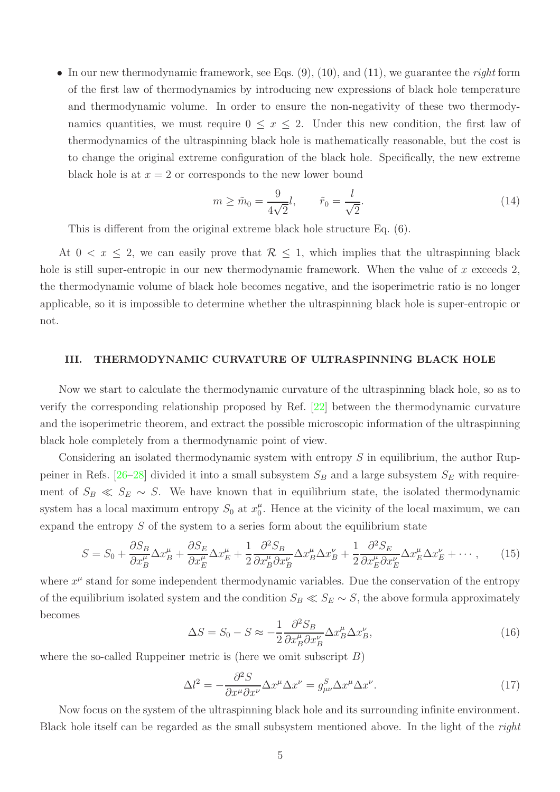• In our new thermodynamic framework, see Eqs.  $(9)$ ,  $(10)$ , and  $(11)$ , we guarantee the *right* form of the first law of thermodynamics by introducing new expressions of black hole temperature and thermodynamic volume. In order to ensure the non-negativity of these two thermodynamics quantities, we must require  $0 \leq x \leq 2$ . Under this new condition, the first law of thermodynamics of the ultraspinning black hole is mathematically reasonable, but the cost is to change the original extreme configuration of the black hole. Specifically, the new extreme black hole is at  $x = 2$  or corresponds to the new lower bound

$$
m \ge \tilde{m}_0 = \frac{9}{4\sqrt{2}}l, \qquad \tilde{r}_0 = \frac{l}{\sqrt{2}}.
$$
 (14)

This is different from the original extreme black hole structure Eq. [\(6\)](#page-2-2).

At  $0 < x \leq 2$ , we can easily prove that  $\mathcal{R} \leq 1$ , which implies that the ultraspinning black hole is still super-entropic in our new thermodynamic framework. When the value of  $x$  exceeds  $2$ , the thermodynamic volume of black hole becomes negative, and the isoperimetric ratio is no longer applicable, so it is impossible to determine whether the ultraspinning black hole is super-entropic or not.

#### III. THERMODYNAMIC CURVATURE OF ULTRASPINNING BLACK HOLE

Now we start to calculate the thermodynamic curvature of the ultraspinning black hole, so as to verify the corresponding relationship proposed by Ref. [\[22\]](#page-8-8) between the thermodynamic curvature and the isoperimetric theorem, and extract the possible microscopic information of the ultraspinning black hole completely from a thermodynamic point of view.

Considering an isolated thermodynamic system with entropy  $S$  in equilibrium, the author Rup-peiner in Refs. [\[26](#page-8-11)[–28](#page-8-13)] divided it into a small subsystem  $S_B$  and a large subsystem  $S_E$  with requirement of  $S_B \ll S_E \sim S$ . We have known that in equilibrium state, the isolated thermodynamic system has a local maximum entropy  $S_0$  at  $x_0^{\mu}$  $\mu_0^{\mu}$ . Hence at the vicinity of the local maximum, we can expand the entropy  $S$  of the system to a series form about the equilibrium state

$$
S = S_0 + \frac{\partial S_B}{\partial x_B^{\mu}} \Delta x_B^{\mu} + \frac{\partial S_E}{\partial x_E^{\mu}} \Delta x_E^{\mu} + \frac{1}{2} \frac{\partial^2 S_B}{\partial x_B^{\mu} \partial x_B^{\nu}} \Delta x_B^{\mu} \Delta x_B^{\nu} + \frac{1}{2} \frac{\partial^2 S_E}{\partial x_E^{\mu} \partial x_E^{\nu}} \Delta x_E^{\mu} \Delta x_E^{\nu} + \cdots,
$$
 (15)

where  $x^{\mu}$  stand for some independent thermodynamic variables. Due the conservation of the entropy of the equilibrium isolated system and the condition  $S_B \ll S_E \sim S$ , the above formula approximately becomes

$$
\Delta S = S_0 - S \approx -\frac{1}{2} \frac{\partial^2 S_B}{\partial x_B^{\mu} \partial x_B^{\nu}} \Delta x_B^{\mu} \Delta x_B^{\nu},\tag{16}
$$

where the so-called Ruppeiner metric is (here we omit subscript  $B$ )

<span id="page-4-0"></span>
$$
\Delta l^2 = -\frac{\partial^2 S}{\partial x^\mu \partial x^\nu} \Delta x^\mu \Delta x^\nu = g^S_{\mu\nu} \Delta x^\mu \Delta x^\nu. \tag{17}
$$

Now focus on the system of the ultraspinning black hole and its surrounding infinite environment. Black hole itself can be regarded as the small subsystem mentioned above. In the light of the right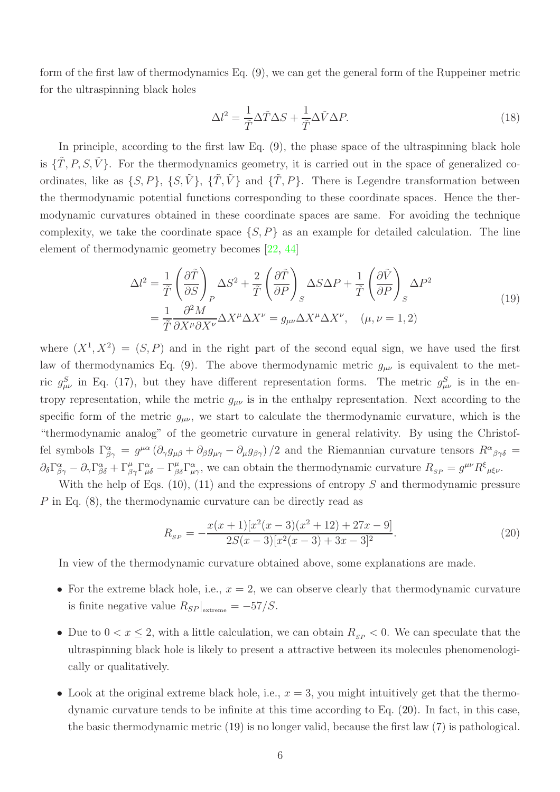form of the first law of thermodynamics Eq. [\(9\)](#page-3-0), we can get the general form of the Ruppeiner metric for the ultraspinning black holes

$$
\Delta l^2 = \frac{1}{\tilde{T}} \Delta \tilde{T} \Delta S + \frac{1}{\tilde{T}} \Delta \tilde{V} \Delta P.
$$
\n(18)

In principle, according to the first law Eq. [\(9\)](#page-3-0), the phase space of the ultraspinning black hole is  $\{\tilde{T}, P, S, \tilde{V}\}\$ . For the thermodynamics geometry, it is carried out in the space of generalized coordinates, like as  $\{S, P\}$ ,  $\{S, \tilde{V}\}$ ,  $\{\tilde{T}, \tilde{V}\}$  and  $\{\tilde{T}, P\}$ . There is Legendre transformation between the thermodynamic potential functions corresponding to these coordinate spaces. Hence the thermodynamic curvatures obtained in these coordinate spaces are same. For avoiding the technique complexity, we take the coordinate space  $\{S, P\}$  as an example for detailed calculation. The line element of thermodynamic geometry becomes [\[22,](#page-8-8) [44\]](#page-9-0)

<span id="page-5-1"></span>
$$
\Delta l^{2} = \frac{1}{\tilde{T}} \left( \frac{\partial \tilde{T}}{\partial S} \right)_{P} \Delta S^{2} + \frac{2}{\tilde{T}} \left( \frac{\partial \tilde{T}}{\partial P} \right)_{S} \Delta S \Delta P + \frac{1}{\tilde{T}} \left( \frac{\partial \tilde{V}}{\partial P} \right)_{S} \Delta P^{2}
$$
  

$$
= \frac{1}{\tilde{T}} \frac{\partial^{2} M}{\partial X^{\mu} \partial X^{\nu}} \Delta X^{\mu} \Delta X^{\nu} = g_{\mu\nu} \Delta X^{\mu} \Delta X^{\nu}, \quad (\mu, \nu = 1, 2)
$$
 (19)

where  $(X^1, X^2) = (S, P)$  and in the right part of the second equal sign, we have used the first law of thermodynamics Eq. [\(9\)](#page-3-0). The above thermodynamic metric  $g_{\mu\nu}$  is equivalent to the metric  $g_{\mu\nu}^S$  in Eq. [\(17\)](#page-4-0), but they have different representation forms. The metric  $g_{\mu\nu}^S$  is in the entropy representation, while the metric  $g_{\mu\nu}$  is in the enthalpy representation. Next according to the specific form of the metric  $g_{\mu\nu}$ , we start to calculate the thermodynamic curvature, which is the "thermodynamic analog" of the geometric curvature in general relativity. By using the Christoffel symbols  $\Gamma^{\alpha}_{\beta\gamma} = g^{\mu\alpha} (\partial_{\gamma} g_{\mu\beta} + \partial_{\beta} g_{\mu\gamma} - \partial_{\mu} g_{\beta\gamma})/2$  and the Riemannian curvature tensors  $R^{\alpha}{}_{\beta\gamma\delta} =$  $\partial_{\delta} \Gamma^{\alpha}_{\beta\gamma} - \partial_{\gamma} \Gamma^{\alpha}_{\beta\delta} + \Gamma^{\mu}_{\beta\gamma} \Gamma^{\alpha}_{\mu\delta} - \Gamma^{\mu}_{\beta\delta} \Gamma^{\alpha}_{\mu\gamma}$ , we can obtain the thermodynamic curvature  $R_{\scriptscriptstyle SP} = g^{\mu\nu} R^{\xi}_{\mu\delta} \nu$ .

With the help of Eqs.  $(10)$ ,  $(11)$  and the expressions of entropy S and thermodynamic pressure P in Eq. [\(8\)](#page-2-0), the thermodynamic curvature can be directly read as

<span id="page-5-0"></span>
$$
R_{SP} = -\frac{x(x+1)[x^2(x-3)(x^2+12)+27x-9]}{2S(x-3)[x^2(x-3)+3x-3]^2}.
$$
\n(20)

In view of the thermodynamic curvature obtained above, some explanations are made.

- For the extreme black hole, i.e.,  $x = 2$ , we can observe clearly that thermodynamic curvature is finite negative value  $R_{SP}|_{\text{extreme}} = -57/S$ .
- Due to  $0 < x \leq 2$ , with a little calculation, we can obtain  $R_{SP} < 0$ . We can speculate that the ultraspinning black hole is likely to present a attractive between its molecules phenomenologically or qualitatively.
- Look at the original extreme black hole, i.e.,  $x = 3$ , you might intuitively get that the thermodynamic curvature tends to be infinite at this time according to Eq. [\(20\)](#page-5-0). In fact, in this case, the basic thermodynamic metric [\(19\)](#page-5-1) is no longer valid, because the first law [\(7\)](#page-2-1) is pathological.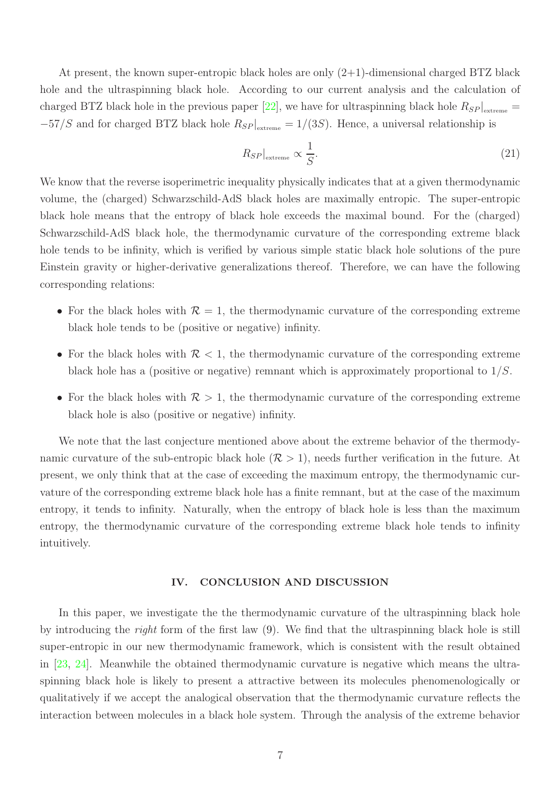At present, the known super-entropic black holes are only (2+1)-dimensional charged BTZ black hole and the ultraspinning black hole. According to our current analysis and the calculation of charged BTZ black hole in the previous paper [\[22](#page-8-8)], we have for ultraspinning black hole  $R_{SP}|_{\text{extreme}} =$  $-57/S$  and for charged BTZ black hole  $R_{SP}|_{extreme} = 1/(3S)$ . Hence, a universal relationship is

$$
R_{SP}|_{\text{extreme}} \propto \frac{1}{S}.\tag{21}
$$

We know that the reverse isoperimetric inequality physically indicates that at a given thermodynamic volume, the (charged) Schwarzschild-AdS black holes are maximally entropic. The super-entropic black hole means that the entropy of black hole exceeds the maximal bound. For the (charged) Schwarzschild-AdS black hole, the thermodynamic curvature of the corresponding extreme black hole tends to be infinity, which is verified by various simple static black hole solutions of the pure Einstein gravity or higher-derivative generalizations thereof. Therefore, we can have the following corresponding relations:

- For the black holes with  $\mathcal{R} = 1$ , the thermodynamic curvature of the corresponding extreme black hole tends to be (positive or negative) infinity.
- For the black holes with  $\mathcal{R}$  < 1, the thermodynamic curvature of the corresponding extreme black hole has a (positive or negative) remnant which is approximately proportional to  $1/S$ .
- For the black holes with  $\mathcal{R} > 1$ , the thermodynamic curvature of the corresponding extreme black hole is also (positive or negative) infinity.

We note that the last conjecture mentioned above about the extreme behavior of the thermodynamic curvature of the sub-entropic black hole  $(\mathcal{R} > 1)$ , needs further verification in the future. At present, we only think that at the case of exceeding the maximum entropy, the thermodynamic curvature of the corresponding extreme black hole has a finite remnant, but at the case of the maximum entropy, it tends to infinity. Naturally, when the entropy of black hole is less than the maximum entropy, the thermodynamic curvature of the corresponding extreme black hole tends to infinity intuitively.

## IV. CONCLUSION AND DISCUSSION

In this paper, we investigate the the thermodynamic curvature of the ultraspinning black hole by introducing the right form of the first law [\(9\)](#page-3-0). We find that the ultraspinning black hole is still super-entropic in our new thermodynamic framework, which is consistent with the result obtained in [\[23,](#page-8-9) [24\]](#page-8-14). Meanwhile the obtained thermodynamic curvature is negative which means the ultraspinning black hole is likely to present a attractive between its molecules phenomenologically or qualitatively if we accept the analogical observation that the thermodynamic curvature reflects the interaction between molecules in a black hole system. Through the analysis of the extreme behavior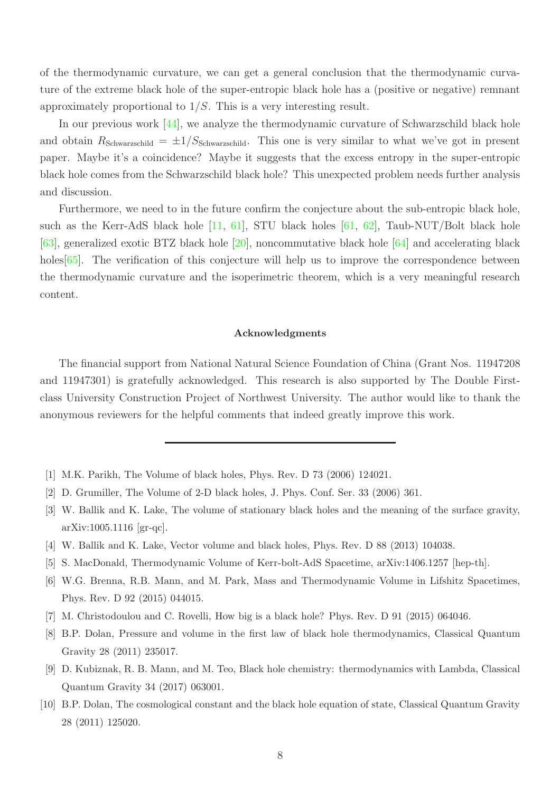of the thermodynamic curvature, we can get a general conclusion that the thermodynamic curvature of the extreme black hole of the super-entropic black hole has a (positive or negative) remnant approximately proportional to  $1/S$ . This is a very interesting result.

In our previous work [\[44\]](#page-9-0), we analyze the thermodynamic curvature of Schwarzschild black hole and obtain  $R_{\text{Schwarzschild}} = \pm 1/S_{\text{Schwarzschild}}$ . This one is very similar to what we've got in present paper. Maybe it's a coincidence? Maybe it suggests that the excess entropy in the super-entropic black hole comes from the Schwarzschild black hole? This unexpected problem needs further analysis and discussion.

Furthermore, we need to in the future confirm the conjecture about the sub-entropic black hole, such as the Kerr-AdS black hole  $[11, 61]$  $[11, 61]$  $[11, 61]$ , STU black holes  $[61, 62]$  $[61, 62]$ , Taub-NUT/Bolt black hole [\[63](#page-10-4)], generalized exotic BTZ black hole [\[20](#page-8-15)], noncommutative black hole [\[64](#page-10-5)] and accelerating black holes  $|65|$ . The verification of this conjecture will help us to improve the correspondence between the thermodynamic curvature and the isoperimetric theorem, which is a very meaningful research content.

# Acknowledgments

The financial support from National Natural Science Foundation of China (Grant Nos. 11947208 and 11947301) is gratefully acknowledged. This research is also supported by The Double Firstclass University Construction Project of Northwest University. The author would like to thank the anonymous reviewers for the helpful comments that indeed greatly improve this work.

- <span id="page-7-0"></span>[1] M.K. Parikh, The Volume of black holes, Phys. Rev. D 73 (2006) 124021.
- [2] D. Grumiller, The Volume of 2-D black holes, J. Phys. Conf. Ser. 33 (2006) 361.
- [3] W. Ballik and K. Lake, The volume of stationary black holes and the meaning of the surface gravity, arXiv:1005.1116 [gr-qc].
- [4] W. Ballik and K. Lake, Vector volume and black holes, Phys. Rev. D 88 (2013) 104038.
- [5] S. MacDonald, Thermodynamic Volume of Kerr-bolt-AdS Spacetime, arXiv:1406.1257 [hep-th].
- [6] W.G. Brenna, R.B. Mann, and M. Park, Mass and Thermodynamic Volume in Lifshitz Spacetimes, Phys. Rev. D 92 (2015) 044015.
- [7] M. Christodoulou and C. Rovelli, How big is a black hole? Phys. Rev. D 91 (2015) 064046.
- <span id="page-7-2"></span>[8] B.P. Dolan, Pressure and volume in the first law of black hole thermodynamics, Classical Quantum Gravity 28 (2011) 235017.
- [9] D. Kubiznak, R. B. Mann, and M. Teo, Black hole chemistry: thermodynamics with Lambda, Classical Quantum Gravity 34 (2017) 063001.
- <span id="page-7-1"></span>[10] B.P. Dolan, The cosmological constant and the black hole equation of state, Classical Quantum Gravity 28 (2011) 125020.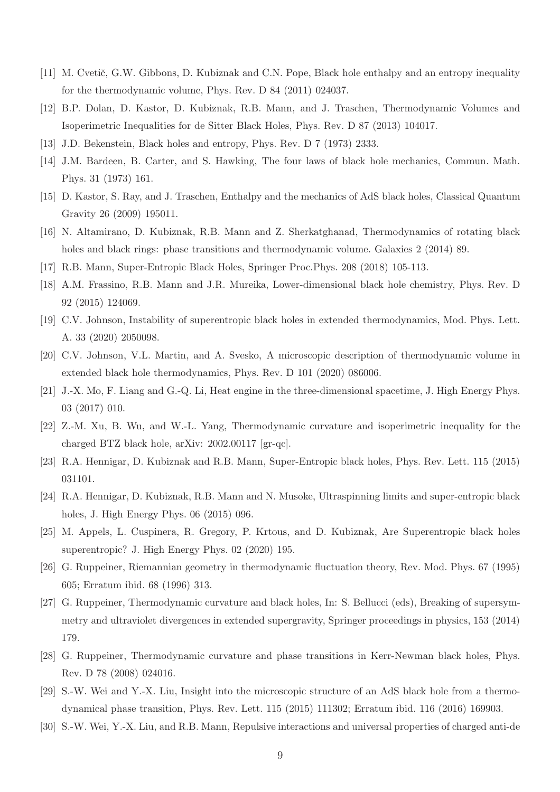- <span id="page-8-0"></span>[11] M. Cvetič, G.W. Gibbons, D. Kubiznak and C.N. Pope, Black hole enthalpy and an entropy inequality for the thermodynamic volume, Phys. Rev. D 84 (2011) 024037.
- <span id="page-8-1"></span>[12] B.P. Dolan, D. Kastor, D. Kubiznak, R.B. Mann, and J. Traschen, Thermodynamic Volumes and Isoperimetric Inequalities for de Sitter Black Holes, Phys. Rev. D 87 (2013) 104017.
- <span id="page-8-2"></span>[13] J.D. Bekenstein, Black holes and entropy, Phys. Rev. D 7 (1973) 2333.
- <span id="page-8-3"></span>[14] J.M. Bardeen, B. Carter, and S. Hawking, The four laws of black hole mechanics, Commun. Math. Phys. 31 (1973) 161.
- <span id="page-8-4"></span>[15] D. Kastor, S. Ray, and J. Traschen, Enthalpy and the mechanics of AdS black holes, Classical Quantum Gravity 26 (2009) 195011.
- <span id="page-8-5"></span>[16] N. Altamirano, D. Kubiznak, R.B. Mann and Z. Sherkatghanad, Thermodynamics of rotating black holes and black rings: phase transitions and thermodynamic volume. Galaxies 2 (2014) 89.
- <span id="page-8-6"></span>[17] R.B. Mann, Super-Entropic Black Holes, Springer Proc.Phys. 208 (2018) 105-113.
- <span id="page-8-7"></span>[18] A.M. Frassino, R.B. Mann and J.R. Mureika, Lower-dimensional black hole chemistry, Phys. Rev. D 92 (2015) 124069.
- [19] C.V. Johnson, Instability of superentropic black holes in extended thermodynamics, Mod. Phys. Lett. A. 33 (2020) 2050098.
- <span id="page-8-15"></span>[20] C.V. Johnson, V.L. Martin, and A. Svesko, A microscopic description of thermodynamic volume in extended black hole thermodynamics, Phys. Rev. D 101 (2020) 086006.
- [21] J.-X. Mo, F. Liang and G.-Q. Li, Heat engine in the three-dimensional spacetime, J. High Energy Phys. 03 (2017) 010.
- <span id="page-8-8"></span>[22] Z.-M. Xu, B. Wu, and W.-L. Yang, Thermodynamic curvature and isoperimetric inequality for the charged BTZ black hole, arXiv: 2002.00117 [gr-qc].
- <span id="page-8-9"></span>[23] R.A. Hennigar, D. Kubiznak and R.B. Mann, Super-Entropic black holes, Phys. Rev. Lett. 115 (2015) 031101.
- <span id="page-8-14"></span>[24] R.A. Hennigar, D. Kubiznak, R.B. Mann and N. Musoke, Ultraspinning limits and super-entropic black holes, J. High Energy Phys. 06 (2015) 096.
- <span id="page-8-10"></span>[25] M. Appels, L. Cuspinera, R. Gregory, P. Krtous, and D. Kubiznak, Are Superentropic black holes superentropic? J. High Energy Phys. 02 (2020) 195.
- <span id="page-8-11"></span>[26] G. Ruppeiner, Riemannian geometry in thermodynamic fluctuation theory, Rev. Mod. Phys. 67 (1995) 605; Erratum ibid. 68 (1996) 313.
- <span id="page-8-12"></span>[27] G. Ruppeiner, Thermodynamic curvature and black holes, In: S. Bellucci (eds), Breaking of supersymmetry and ultraviolet divergences in extended supergravity, Springer proceedings in physics, 153 (2014) 179.
- <span id="page-8-13"></span>[28] G. Ruppeiner, Thermodynamic curvature and phase transitions in Kerr-Newman black holes, Phys. Rev. D 78 (2008) 024016.
- [29] S.-W. Wei and Y.-X. Liu, Insight into the microscopic structure of an AdS black hole from a thermodynamical phase transition, Phys. Rev. Lett. 115 (2015) 111302; Erratum ibid. 116 (2016) 169903.
- [30] S.-W. Wei, Y.-X. Liu, and R.B. Mann, Repulsive interactions and universal properties of charged anti-de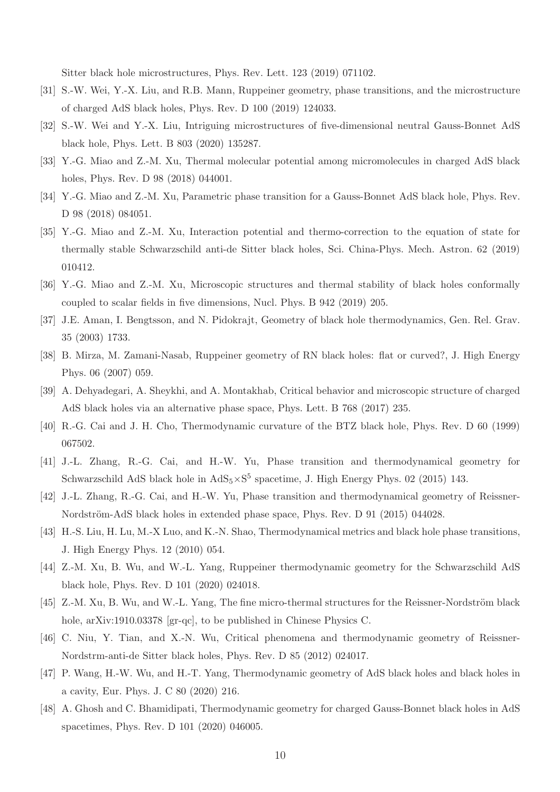Sitter black hole microstructures, Phys. Rev. Lett. 123 (2019) 071102.

- [31] S.-W. Wei, Y.-X. Liu, and R.B. Mann, Ruppeiner geometry, phase transitions, and the microstructure of charged AdS black holes, Phys. Rev. D 100 (2019) 124033.
- [32] S.-W. Wei and Y.-X. Liu, Intriguing microstructures of five-dimensional neutral Gauss-Bonnet AdS black hole, Phys. Lett. B 803 (2020) 135287.
- [33] Y.-G. Miao and Z.-M. Xu, Thermal molecular potential among micromolecules in charged AdS black holes, Phys. Rev. D 98 (2018) 044001.
- [34] Y.-G. Miao and Z.-M. Xu, Parametric phase transition for a Gauss-Bonnet AdS black hole, Phys. Rev. D 98 (2018) 084051.
- [35] Y.-G. Miao and Z.-M. Xu, Interaction potential and thermo-correction to the equation of state for thermally stable Schwarzschild anti-de Sitter black holes, Sci. China-Phys. Mech. Astron. 62 (2019) 010412.
- [36] Y.-G. Miao and Z.-M. Xu, Microscopic structures and thermal stability of black holes conformally coupled to scalar fields in five dimensions, Nucl. Phys. B 942 (2019) 205.
- [37] J.E. Aman, I. Bengtsson, and N. Pidokrajt, Geometry of black hole thermodynamics, Gen. Rel. Grav. 35 (2003) 1733.
- [38] B. Mirza, M. Zamani-Nasab, Ruppeiner geometry of RN black holes: flat or curved?, J. High Energy Phys. 06 (2007) 059.
- [39] A. Dehyadegari, A. Sheykhi, and A. Montakhab, Critical behavior and microscopic structure of charged AdS black holes via an alternative phase space, Phys. Lett. B 768 (2017) 235.
- [40] R.-G. Cai and J. H. Cho, Thermodynamic curvature of the BTZ black hole, Phys. Rev. D 60 (1999) 067502.
- [41] J.-L. Zhang, R.-G. Cai, and H.-W. Yu, Phase transition and thermodynamical geometry for Schwarzschild AdS black hole in  $AdS_5 \times S^5$  spacetime, J. High Energy Phys. 02 (2015) 143.
- [42] J.-L. Zhang, R.-G. Cai, and H.-W. Yu, Phase transition and thermodynamical geometry of Reissner-Nordström-AdS black holes in extended phase space, Phys. Rev. D 91 (2015) 044028.
- [43] H.-S. Liu, H. Lu, M.-X Luo, and K.-N. Shao, Thermodynamical metrics and black hole phase transitions, J. High Energy Phys. 12 (2010) 054.
- <span id="page-9-0"></span>[44] Z.-M. Xu, B. Wu, and W.-L. Yang, Ruppeiner thermodynamic geometry for the Schwarzschild AdS black hole, Phys. Rev. D 101 (2020) 024018.
- [45] Z.-M. Xu, B. Wu, and W.-L. Yang, The fine micro-thermal structures for the Reissner-Nordström black hole, arXiv:1910.03378 [gr-qc], to be published in Chinese Physics C.
- [46] C. Niu, Y. Tian, and X.-N. Wu, Critical phenomena and thermodynamic geometry of Reissner-Nordstrm-anti-de Sitter black holes, Phys. Rev. D 85 (2012) 024017.
- [47] P. Wang, H.-W. Wu, and H.-T. Yang, Thermodynamic geometry of AdS black holes and black holes in a cavity, Eur. Phys. J. C 80 (2020) 216.
- [48] A. Ghosh and C. Bhamidipati, Thermodynamic geometry for charged Gauss-Bonnet black holes in AdS spacetimes, Phys. Rev. D 101 (2020) 046005.